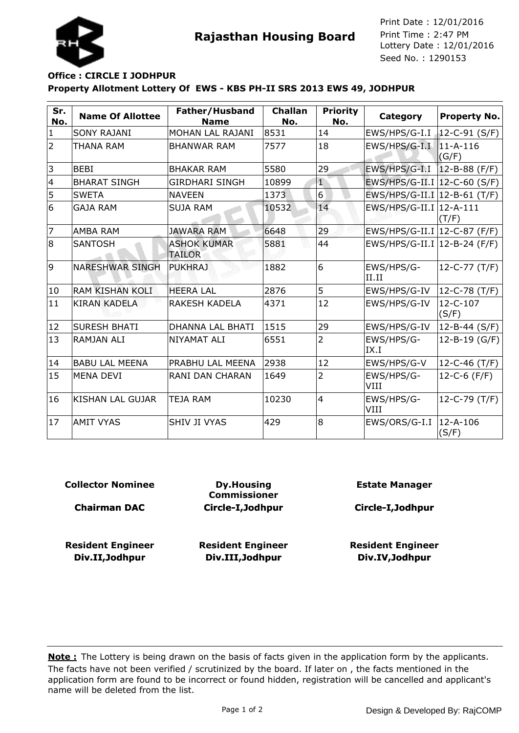



**Rajasthan Housing Board** Print Time : 2:47 PM<br>Lottery Date : 12/01/2016 Seed No. : 1290153 Print Date : 12/01/2016 Print Time : 2:47 PM

## **Property Allotment Lottery Of EWS - KBS PH-II SRS 2013 EWS 49, JODHPUR Office : CIRCLE I JODHPUR**

| Sr.<br>No.     | <b>Name Of Allottee</b> | Father/Husband<br><b>Name</b>       | <b>Challan</b><br>No. | <b>Priority</b><br>No. | Category                       | <b>Property No.</b>        |
|----------------|-------------------------|-------------------------------------|-----------------------|------------------------|--------------------------------|----------------------------|
| $\mathbf{1}$   | <b>SONY RAJANI</b>      | MOHAN LAL RAJANI                    | 8531                  | 14                     | EWS/HPS/G-I.I                  | $\downarrow$ 12-C-91 (S/F) |
| $\overline{2}$ | THANA RAM               | <b>BHANWAR RAM</b>                  | 7577                  | 18                     | EWS/HPS/G-I.I                  | $11 - A - 116$<br>(G/F)    |
| 3              | <b>BEBI</b>             | <b>BHAKAR RAM</b>                   | 5580                  | 29                     | EWS/HPS/G-I.I                  | $12 - B - 88$ (F/F)        |
| $\overline{4}$ | <b>BHARAT SINGH</b>     | <b>GIRDHARI SINGH</b>               | 10899                 | $\mathbf{1}$           | EWS/HPS/G-II.I   12-C-60 (S/F) |                            |
| 5              | <b>SWETA</b>            | <b>NAVEEN</b>                       | 1373                  | $6 \overline{6}$       | EWS/HPS/G-II.I   12-B-61 (T/F) |                            |
| 6              | <b>GAJA RAM</b>         | <b>SUJA RAM</b>                     | 10532                 | 14                     | EWS/HPS/G-II.I   12-A-111      | (T/F)                      |
| $\overline{7}$ | AMBA RAM                | <b>JAWARA RAM</b>                   | 6648                  | 29                     | EWS/HPS/G-II.I   12-C-87 (F/F) |                            |
| 8              | <b>SANTOSH</b>          | <b>ASHOK KUMAR</b><br><b>TAILOR</b> | 5881                  | 44                     | EWS/HPS/G-II.I   12-B-24 (F/F) |                            |
| 9              | <b>NARESHWAR SINGH</b>  | <b>PUKHRAJ</b>                      | 1882                  | 6                      | EWS/HPS/G-<br>II.II            | $12-C-77(T/F)$             |
| 10             | <b>RAM KISHAN KOLI</b>  | <b>HEERA LAL</b>                    | 2876                  | 5                      | EWS/HPS/G-IV                   | 12-C-78 (T/F)              |
| 11             | <b>KIRAN KADELA</b>     | RAKESH KADELA                       | 4371                  | 12                     | EWS/HPS/G-IV                   | 12-C-107<br>(S/F)          |
| 12             | <b>SURESH BHATI</b>     | <b>DHANNA LAL BHATI</b>             | 1515                  | 29                     | EWS/HPS/G-IV                   | 12-B-44 (S/F)              |
| 13             | <b>RAMJAN ALI</b>       | NIYAMAT ALI                         | 6551                  | 2                      | EWS/HPS/G-<br>IX.I             | 12-B-19 (G/F)              |
| 14             | <b>BABU LAL MEENA</b>   | PRABHU LAL MEENA                    | 2938                  | 12                     | EWS/HPS/G-V                    | $12 - C - 46$ (T/F)        |
| 15             | MENA DEVI               | RANI DAN CHARAN                     | 1649                  | 2                      | EWS/HPS/G-<br>VIII             | 12-C-6 (F/F)               |
| 16             | <b>KISHAN LAL GUJAR</b> | <b>TEJA RAM</b>                     | 10230                 | $\overline{4}$         | EWS/HPS/G-<br>VIII             | 12-C-79 (T/F)              |
| 17             | <b>AMIT VYAS</b>        | SHIV JI VYAS                        | 429                   | 8                      | EWS/ORS/G-I.I                  | 12-A-106<br>(S/F)          |

**Collector Nominee**

**Chairman DAC**

**Resident Engineer Div.II,Jodhpur**

**Dy.Housing Commissioner Circle-I,Jodhpur**

**Resident Engineer Div.III,Jodhpur**

**Estate Manager**

**Circle-I,Jodhpur**

**Resident Engineer Div.IV,Jodhpur**

The facts have not been verified / scrutinized by the board. If later on , the facts mentioned in the application form are found to be incorrect or found hidden, registration will be cancelled and applicant's name will be deleted from the list. **Note :** The Lottery is being drawn on the basis of facts given in the application form by the applicants.